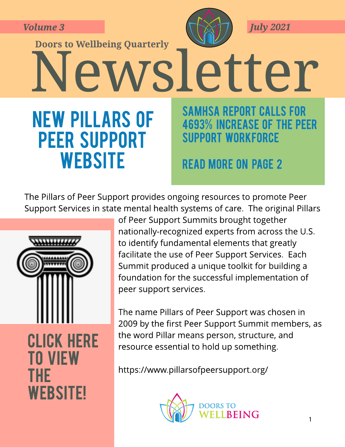**Volume 3**

**Doors to Wellbeing Quarterly** 

**NEW PILLARS OF** 

**PEER SUPPORT** 

WEBSITE



**July 2021**

Newsletter **SAMHSA REPORT CALLS FOR 4693% INCREASE OF THE PEER SUPPORT WORKFORCE** 

### **READ MORE ON PAGE 2**

The Pillars of Peer Support provides ongoing resources to promote Peer Support Services in state mental health systems of care. The original Pillars



**CLICK HERE** t [o](https://www.pillarsofpeersupport.org/) [view](https://www.pillarsofpeersupport.org/) t [he](https://www.pillarsofpeersupport.org/) **WEBSITE!** 

of Peer Support Summits brought together nationally-recognized experts from across the U.S. to identify fundamental elements that greatly facilitate the use of Peer Support Services. Each Summit produced a unique toolkit for building a foundation for the successful implementation of peer support services.

The name Pillars of Peer Support was chosen in 2009 by the first Peer Support Summit members, as the word Pillar means person, structure, and resource essential to hold up something.

<https://www.pillarsofpeersupport.org/>

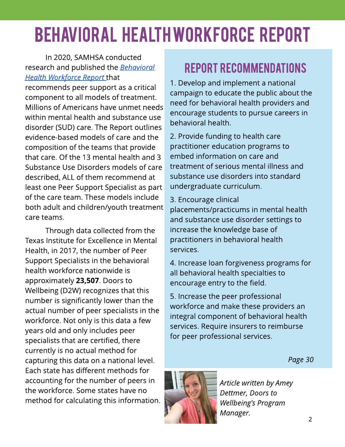# BEHAVIORAL HEALTHWORKFORCEREPORT

### In 2020, SAMHSA conducted research and published the **[Behavioral](https://8767e61b-c26e-4b0f-b872-d9e03c702a01.filesusr.com/ugd/8b1e4a_3578676a37824c2fba834e8e170f3c39.pdf) [Health](https://8767e61b-c26e-4b0f-b872-d9e03c702a01.filesusr.com/ugd/8b1e4a_3578676a37824c2fba834e8e170f3c39.pdf) [Workforce](https://8767e61b-c26e-4b0f-b872-d9e03c702a01.filesusr.com/ugd/8b1e4a_3578676a37824c2fba834e8e170f3c39.pdf) [Report](https://8767e61b-c26e-4b0f-b872-d9e03c702a01.filesusr.com/ugd/8b1e4a_3578676a37824c2fba834e8e170f3c39.pdf)** that

recommends peer support as a critical component to all models of treatment. Millions of Americans have unmet needs within mental health and substance use disorder (SUD) care. The Report outlines evidence-based models of care and the composition of the teams that provide that care. Of the 13 mental health and 3 Substance Use Disorders models of care described, ALL of them recommend at least one Peer Support Specialist as part of the care team. These models include both adult and children/youth treatment care teams.

Through data collected from the Texas Institute for Excellence in Mental Health, in 2017, the number of Peer Support Specialists in the behavioral health workforce nationwide is approximately 23,507. Doors to Wellbeing (D2W) recognizes that this number is significantly lower than the actual number of peer specialists in the workforce. Not only is this data a few years old and only includes peer specialists that are certified, there currently is no actual method for capturing this data on a national level. Each state has different methods for accounting for the number of peers in the workforce. Some states have no method for calculating this information.

### REPORT RECOMMENDATIONS

1. Develop and implement a national campaign to educate the public about the need for behavioral health providers and encourage students to pursue careers in behavioral health.

2. Provide funding to health care practitioner education programs to embed information on care and treatment of serious mental illness and substance use disorders into standard undergraduate curriculum.

### 3. Encourage clinical

placements/practicums in mental health and substance use disorder settings to increase the knowledge base of practitioners in behavioral health services.

4. Increase loan forgiveness programs for all behavioral health specialties to encourage entry to the field.

5. Increase the peer professional workforce and make these providers an integral component of behavioral health services. Require insurers to reimburse for peer professional services.

**Page 30**



**Article written by Amey Dettmer, Doors to Wellbeing's Program Manager.**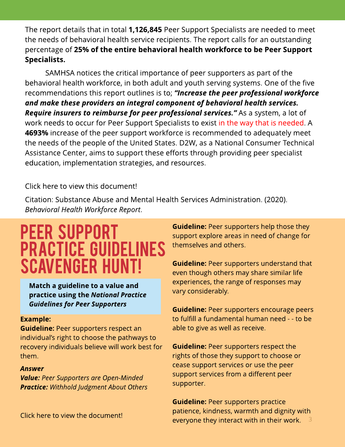The report details that in total **1,126,845** Peer Support Specialists are needed to meet the needs of behavioral health service recipients. The report calls for an outstanding percentage of 25% of the entire behavioral health workforce to be Peer Support Specialists.

SAMHSA notices the critical importance of peer supporters as part of the behavioral health workforce, in both adult and youth serving systems. One of the five recommendations this report outlines is to; **?Increase the peer professional workforce and make these providers an integral component of behavioral health services. Require insurers to reimburse for peer professional services.?**As a system, a lot of work needs to occur for Peer Support Specialists to exist in the way that is needed. A 4693% increase of the peer support workforce is recommended to adequately meet the needs of the people of the United States. D2W, as a National Consumer Technical Assistance Center, aims to support these efforts through providing peer specialist education, implementation strategies, and resources.

#### [Click](https://8767e61b-c26e-4b0f-b872-d9e03c702a01.filesusr.com/ugd/8b1e4a_3578676a37824c2fba834e8e170f3c39.pdf) [here](https://8767e61b-c26e-4b0f-b872-d9e03c702a01.filesusr.com/ugd/8b1e4a_3578676a37824c2fba834e8e170f3c39.pdf) [to](https://8767e61b-c26e-4b0f-b872-d9e03c702a01.filesusr.com/ugd/8b1e4a_3578676a37824c2fba834e8e170f3c39.pdf) [view](https://8767e61b-c26e-4b0f-b872-d9e03c702a01.filesusr.com/ugd/8b1e4a_3578676a37824c2fba834e8e170f3c39.pdf) [this](https://8767e61b-c26e-4b0f-b872-d9e03c702a01.filesusr.com/ugd/8b1e4a_3578676a37824c2fba834e8e170f3c39.pdf) [document!](https://8767e61b-c26e-4b0f-b872-d9e03c702a01.filesusr.com/ugd/8b1e4a_3578676a37824c2fba834e8e170f3c39.pdf)

Citation: Substance Abuse and Mental Health Services Administration. (2020). **Behavioral Health Workforce Report**.

### PEER SUPPORT **PRACTICE GUIDELINES SCAVENGER HUNT!**

Match a guideline to a value and **practice using the [National](https://www.peersupportworks.org/wp-content/uploads/2021/02/nationalguidelines_updated.pdf) [Practice](https://www.peersupportworks.org/wp-content/uploads/2021/02/nationalguidelines_updated.pdf) [Guidelines](https://www.peersupportworks.org/wp-content/uploads/2021/02/nationalguidelines_updated.pdf) [for](https://www.peersupportworks.org/wp-content/uploads/2021/02/nationalguidelines_updated.pdf) [Peer](https://www.peersupportworks.org/wp-content/uploads/2021/02/nationalguidelines_updated.pdf) [Supporters](https://www.peersupportworks.org/wp-content/uploads/2021/02/nationalguidelines_updated.pdf)**

#### **Example:**

**Guideline: Peer supporters respect an** individual's right to choose the pathways to recovery individuals believe will work best for them.

#### **Answer**

**Value: Peer Supportersare Open-Minded Practice: Withhold Judgment About Others**

[Click](https://www.peersupportworks.org/wp-content/uploads/2021/02/nationalguidelines_updated.pdf) [here](https://www.peersupportworks.org/wp-content/uploads/2021/02/nationalguidelines_updated.pdf) [to](https://www.peersupportworks.org/wp-content/uploads/2021/02/nationalguidelines_updated.pdf) [view](https://www.peersupportworks.org/wp-content/uploads/2021/02/nationalguidelines_updated.pdf) [the](https://www.peersupportworks.org/wp-content/uploads/2021/02/nationalguidelines_updated.pdf) [document!](https://www.peersupportworks.org/wp-content/uploads/2021/02/nationalguidelines_updated.pdf)

**Guideline:** Peer supporters help those they support explore areas in need of change for themselves and others.

**Guideline:** Peer supporters understand that even though others may share similar life experiences, the range of responses may vary considerably.

**Guideline: Peer supporters encourage peers** to fulfill a fundamental human need - - to be able to give as well as receive.

**Guideline:** Peer supporters respect the rights of those they support to choose or cease support services or use the peer support services from a different peer supporter.

3 **Guideline: Peer supporters practice** patience, kindness, warmth and dignity with everyone they interact with in their work.